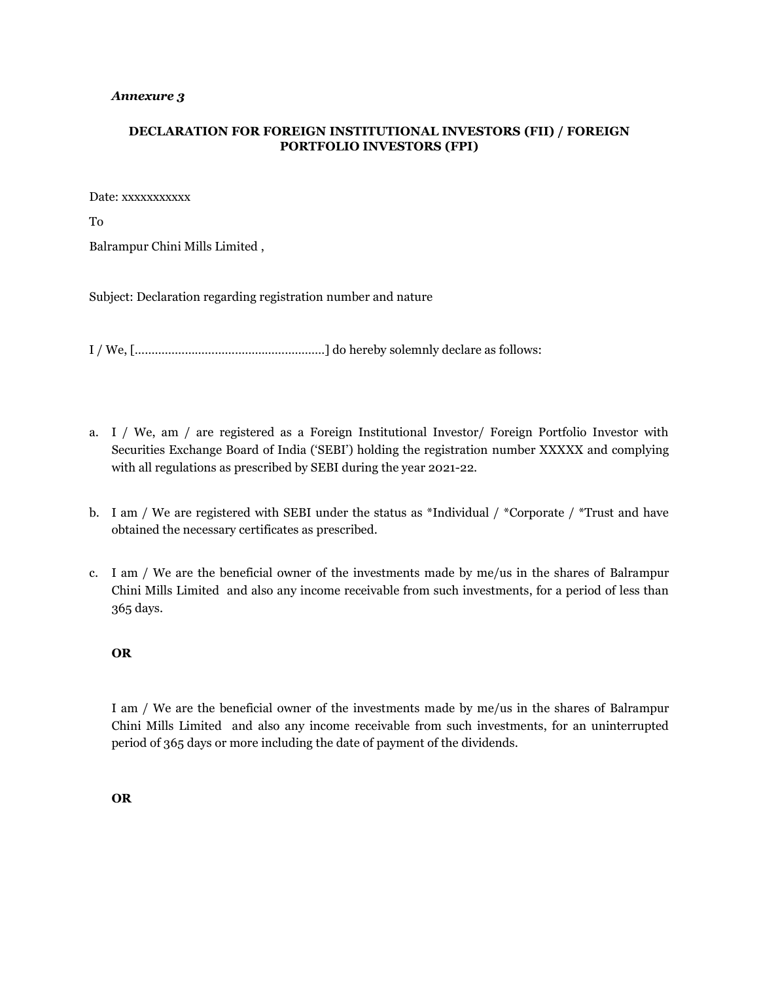## *Annexure 3*

## **DECLARATION FOR FOREIGN INSTITUTIONAL INVESTORS (FII) / FOREIGN PORTFOLIO INVESTORS (FPI)**

Date: xxxxxxxxxxx

To

Balrampur Chini Mills Limited ,

Subject: Declaration regarding registration number and nature

I / We, […………………………………………………] do hereby solemnly declare as follows:

- a. I / We, am / are registered as a Foreign Institutional Investor/ Foreign Portfolio Investor with Securities Exchange Board of India ('SEBI') holding the registration number XXXXX and complying with all regulations as prescribed by SEBI during the year 2021-22.
- b. I am / We are registered with SEBI under the status as \*Individual / \*Corporate / \*Trust and have obtained the necessary certificates as prescribed.
- c. I am / We are the beneficial owner of the investments made by me/us in the shares of Balrampur Chini Mills Limited and also any income receivable from such investments, for a period of less than 365 days.

## **OR**

I am / We are the beneficial owner of the investments made by me/us in the shares of Balrampur Chini Mills Limited and also any income receivable from such investments, for an uninterrupted period of 365 days or more including the date of payment of the dividends.

**OR**